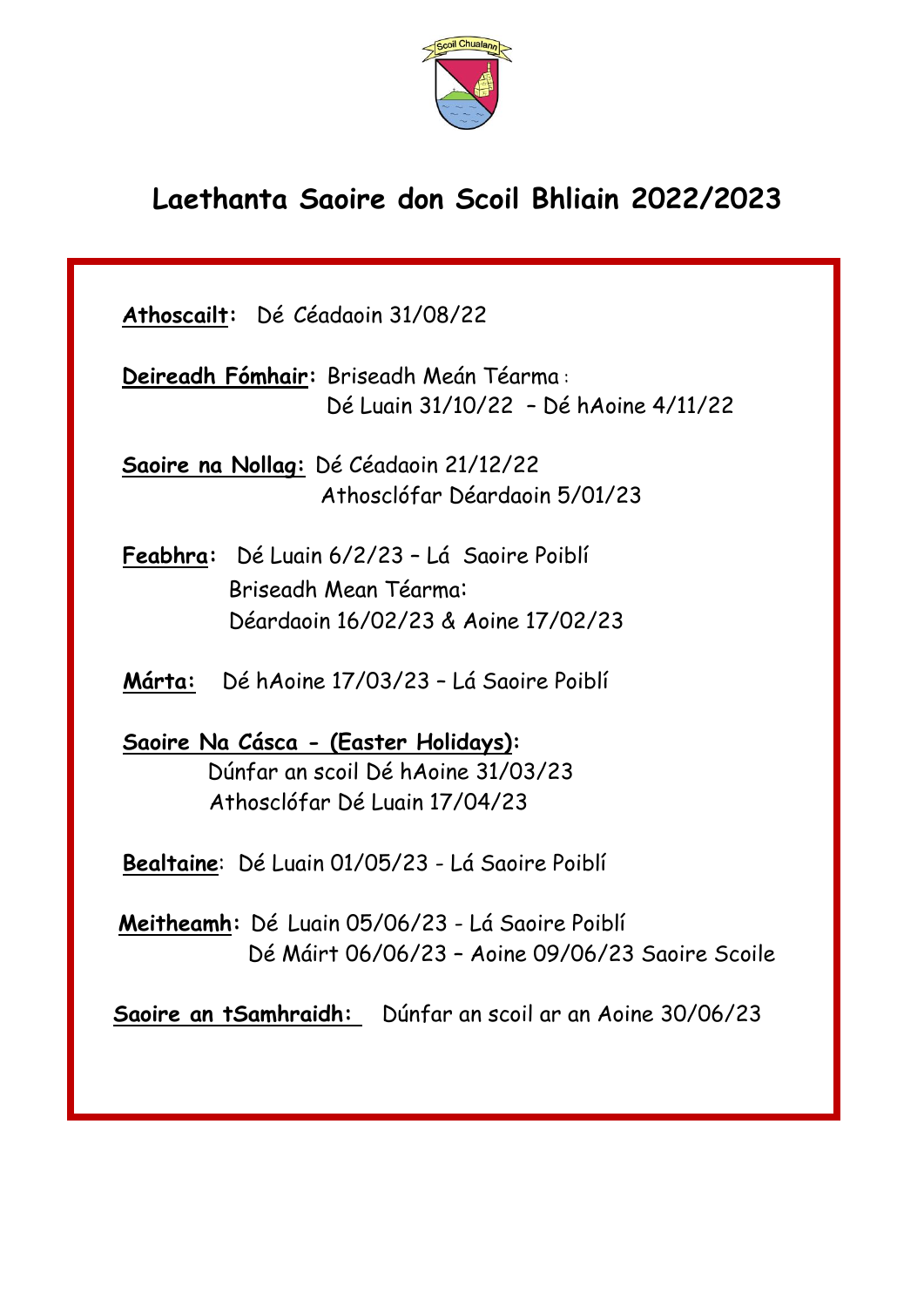

# **Laethanta Saoire don Scoil Bhliain 2022/2023**

**Athoscailt:** Dé Céadaoin 31/08/22

I

**Deireadh Fómhair:** Briseadh Meán Téarma : Dé Luain 31/10/22 – Dé hAoine 4/11/22

 **Saoire na Nollag:** Dé Céadaoin 21/12/22 Athosclófar Déardaoin 5/01/23

 **Feabhra:** Dé Luain 6/2/23 – Lá Saoire Poiblí Briseadh Mean Téarma: Déardaoin 16/02/23 & Aoine 17/02/23

 **Márta:** Dé hAoine 17/03/23 – Lá Saoire Poiblí

**Saoire Na Cásca - (Easter Holidays):** Dúnfar an scoil Dé hAoine 31/03/23 Athosclófar Dé Luain 17/04/23

 **Bealtaine**: Dé Luain 01/05/23 - Lá Saoire Poiblí

 **Meitheamh:** Dé Luain 05/06/23 - Lá Saoire Poiblí Dé Máirt 06/06/23 – Aoine 09/06/23 Saoire Scoile

 **Saoire an tSamhraidh:** Dúnfar an scoil ar an Aoine 30/06/23